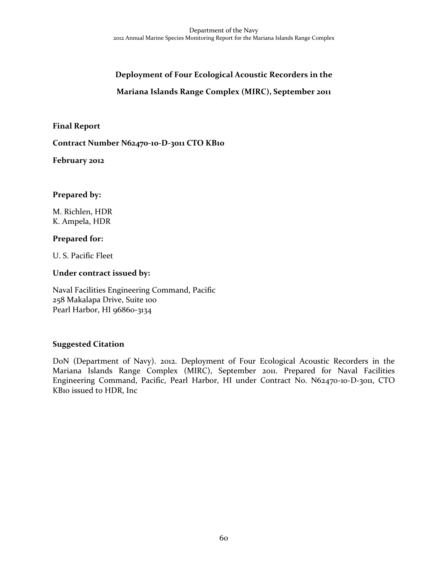# **Deployment of Four Ecological Acoustic Recorders in the**

### **Mariana Islands Range Complex (MIRC), September 2011**

**Final Report**

**Contract Number N62470-10-D-3011 CTO KB10**

**February 2012**

#### **Prepared by:**

M. Richlen, HDR K. Ampela, HDR

#### **Prepared for:**

U. S. Pacific Fleet

#### **Under contract issued by:**

Naval Facilities Engineering Command, Pacific 258 Makalapa Drive, Suite 100 Pearl Harbor, HI 96860-3134

#### **Suggested Citation**

DoN (Department of Navy). 2012. Deployment of Four Ecological Acoustic Recorders in the Mariana Islands Range Complex (MIRC), September 2011. Prepared for Naval Facilities Engineering Command, Pacific, Pearl Harbor, HI under Contract No. N62470-10-D-3011, CTO KB10 issued to HDR, Inc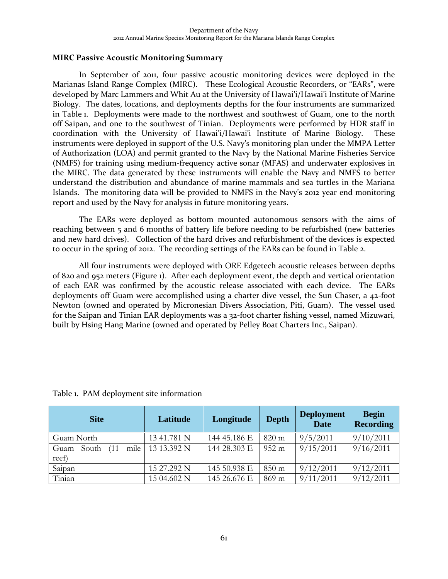#### **MIRC Passive Acoustic Monitoring Summary**

In September of 2011, four passive acoustic monitoring devices were deployed in the Marianas Island Range Complex (MIRC). These Ecological Acoustic Recorders, or "EARs", were developed by Marc Lammers and Whit Au at the University of Hawai'i/Hawai'i Institute of Marine Biology. The dates, locations, and deployments depths for the four instruments are summarized in Table 1. Deployments were made to the northwest and southwest of Guam, one to the north off Saipan, and one to the southwest of Tinian. Deployments were performed by HDR staff in coordination with the University of Hawai'i/Hawai'i Institute of Marine Biology. These instruments were deployed in support of the U.S. Navy's monitoring plan under the MMPA Letter of Authorization (LOA) and permit granted to the Navy by the National Marine Fisheries Service (NMFS) for training using medium-frequency active sonar (MFAS) and underwater explosives in the MIRC. The data generated by these instruments will enable the Navy and NMFS to better understand the distribution and abundance of marine mammals and sea turtles in the Mariana Islands. The monitoring data will be provided to NMFS in the Navy's 2012 year end monitoring report and used by the Navy for analysis in future monitoring years.

The EARs were deployed as bottom mounted autonomous sensors with the aims of reaching between 5 and 6 months of battery life before needing to be refurbished (new batteries and new hard drives). Collection of the hard drives and refurbishment of the devices is expected to occur in the spring of 2012. The recording settings of the EARs can be found in Table 2.

All four instruments were deployed with ORE Edgetech acoustic releases between depths of 820 and 952 meters (Figure 1). After each deployment event, the depth and vertical orientation of each EAR was confirmed by the acoustic release associated with each device. The EARs deployments off Guam were accomplished using a charter dive vessel, the Sun Chaser, a 42-foot Newton (owned and operated by Micronesian Divers Association, Piti, Guam). The vessel used for the Saipan and Tinian EAR deployments was a 32-foot charter fishing vessel, named Mizuwari, built by Hsing Hang Marine (owned and operated by Pelley Boat Charters Inc., Saipan).

| <b>Site</b>                            | Latitude    | Longitude    | <b>Depth</b>    | <b>Deployment</b><br><b>Date</b> | <b>Begin</b><br><b>Recording</b> |
|----------------------------------------|-------------|--------------|-----------------|----------------------------------|----------------------------------|
| Guam North                             | 13 41.781 N | 144 45.186 E | $820 \text{ m}$ | 9/5/2011                         | 9/10/2011                        |
| mile<br>(11)<br>South<br>Guam<br>reef) | 13 13.392 N | 144 28.303 E | $952 \text{ m}$ | 9/15/2011                        | 9/16/2011                        |
| Saipan                                 | 15 27.292 N | 145 50.938 E | $850 \text{ m}$ | 9/12/2011                        | 9/12/2011                        |
| Tinian                                 | 15 04.602 N | 145 26.676 E | 869 m           | 9/11/2011                        | 9/12/2011                        |

Table 1. PAM deployment site information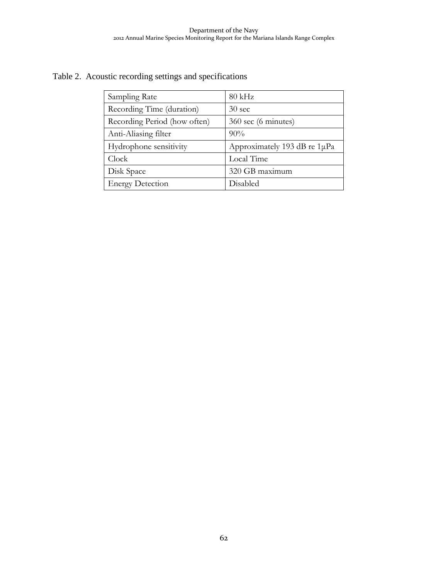## Table 2. Acoustic recording settings and specifications

| Sampling Rate                | $80$ kHz                     |  |  |
|------------------------------|------------------------------|--|--|
| Recording Time (duration)    | $30 \text{ sec}$             |  |  |
| Recording Period (how often) | 360 sec (6 minutes)          |  |  |
| Anti-Aliasing filter         | $90\%$                       |  |  |
| Hydrophone sensitivity       | Approximately 193 dB re 1µPa |  |  |
| Clock                        | Local Time                   |  |  |
| Disk Space                   | 320 GB maximum               |  |  |
| <b>Energy Detection</b>      | Disabled                     |  |  |